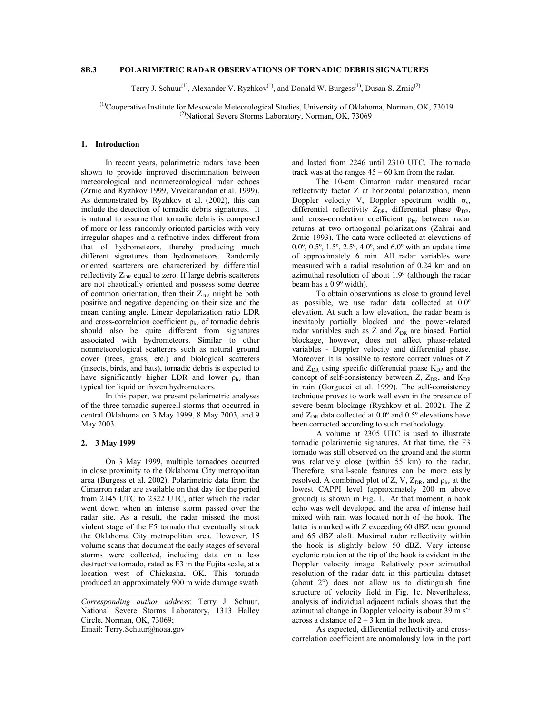# **8B.3 POLARIMETRIC RADAR OBSERVATIONS OF TORNADIC DEBRIS SIGNATURES**

Terry J. Schuur<sup>(1)</sup>, Alexander V. Ryzhkov<sup>(1)</sup>, and Donald W. Burgess<sup>(1)</sup>, Dusan S. Zrnic<sup>(2)</sup>

 (1)Cooperative Institute for Mesoscale Meteorological Studies, University of Oklahoma, Norman, OK, 73019  $^{(2)}$ National Severe Storms Laboratory, Norman, OK, 73069

### **1. Introduction**

In recent years, polarimetric radars have been shown to provide improved discrimination between meteorological and nonmeteorological radar echoes (Zrnic and Ryzhkov 1999, Vivekanandan et al. 1999). As demonstrated by Ryzhkov et al. (2002), this can include the detection of tornadic debris signatures. It is natural to assume that tornadic debris is composed of more or less randomly oriented particles with very irregular shapes and a refractive index different from that of hydrometeors, thereby producing much different signatures than hydrometeors. Randomly oriented scatterers are characterized by differential reflectivity  $Z_{DR}$  equal to zero. If large debris scatterers are not chaotically oriented and possess some degree of common orientation, then their  $Z_{DR}$  might be both positive and negative depending on their size and the mean canting angle. Linear depolarization ratio LDR and cross-correlation coefficient  $\rho_{\text{hv}}$  of tornadic debris should also be quite different from signatures associated with hydrometeors. Similar to other nonmeteorological scatterers such as natural ground cover (trees, grass, etc.) and biological scatterers (insects, birds, and bats), tornadic debris is expected to have significantly higher LDR and lower  $\rho_{hv}$  than typical for liquid or frozen hydrometeors.

In this paper, we present polarimetric analyses of the three tornadic supercell storms that occurred in central Oklahoma on 3 May 1999, 8 May 2003, and 9 May 2003.

# **2. 3 May 1999**

On 3 May 1999, multiple tornadoes occurred in close proximity to the Oklahoma City metropolitan area (Burgess et al. 2002). Polarimetric data from the Cimarron radar are available on that day for the period from 2145 UTC to 2322 UTC, after which the radar went down when an intense storm passed over the radar site. As a result, the radar missed the most violent stage of the F5 tornado that eventually struck the Oklahoma City metropolitan area. However, 15 volume scans that document the early stages of several storms were collected, including data on a less destructive tornado, rated as F3 in the Fujita scale, at a location west of Chickasha, OK. This tornado produced an approximately 900 m wide damage swath

and lasted from 2246 until 2310 UTC. The tornado track was at the ranges  $45 - 60$  km from the radar.

The 10-cm Cimarron radar measured radar reflectivity factor Z at horizontal polarization, mean Doppler velocity V, Doppler spectrum width  $\sigma_v$ , differential reflectivity  $Z_{DR}$ , differential phase  $\Phi_{DP}$ , and cross-correlation coefficient  $\rho_{hv}$  between radar returns at two orthogonal polarizations (Zahrai and Zrnic 1993). The data were collected at elevations of 0.0º, 0.5º, 1.5º, 2.5º, 4.0º, and 6.0º with an update time of approximately 6 min. All radar variables were measured with a radial resolution of 0.24 km and an azimuthal resolution of about 1.9º (although the radar beam has a 0.9º width).

To obtain observations as close to ground level as possible, we use radar data collected at 0.0º elevation. At such a low elevation, the radar beam is inevitably partially blocked and the power-related radar variables such as  $Z$  and  $Z_{DR}$  are biased. Partial blockage, however, does not affect phase-related variables - Doppler velocity and differential phase. Moreover, it is possible to restore correct values of Z and  $Z_{DR}$  using specific differential phase  $K_{DP}$  and the concept of self-consistency between  $Z$ ,  $Z_{DR}$ , and  $K_{DP}$ in rain (Gorgucci et al. 1999). The self-consistency technique proves to work well even in the presence of severe beam blockage (Ryzhkov et al. 2002). The Z and  $Z_{DR}$  data collected at  $0.0^{\circ}$  and  $0.5^{\circ}$  elevations have been corrected according to such methodology.

A volume at 2305 UTC is used to illustrate tornadic polarimetric signatures. At that time, the F3 tornado was still observed on the ground and the storm was relatively close (within 55 km) to the radar. Therefore, small-scale features can be more easily resolved. A combined plot of Z, V,  $Z_{DR}$ , and  $\rho_{hv}$  at the lowest CAPPI level (approximately 200 m above ground) is shown in Fig. 1. At that moment, a hook echo was well developed and the area of intense hail mixed with rain was located north of the hook. The latter is marked with Z exceeding 60 dBZ near ground and 65 dBZ aloft. Maximal radar reflectivity within the hook is slightly below 50 dBZ. Very intense cyclonic rotation at the tip of the hook is evident in the Doppler velocity image. Relatively poor azimuthal resolution of the radar data in this particular dataset (about 2°) does not allow us to distinguish fine structure of velocity field in Fig. 1c. Nevertheless, analysis of individual adjacent radials shows that the azimuthal change in Doppler velocity is about  $39 \text{ m s}^{-1}$ across a distance of  $2 - 3$  km in the hook area.

As expected, differential reflectivity and crosscorrelation coefficient are anomalously low in the part

*Corresponding author address*: Terry J. Schuur, National Severe Storms Laboratory, 1313 Halley Circle, Norman, OK, 73069; Email: Terry.Schuur@noaa.gov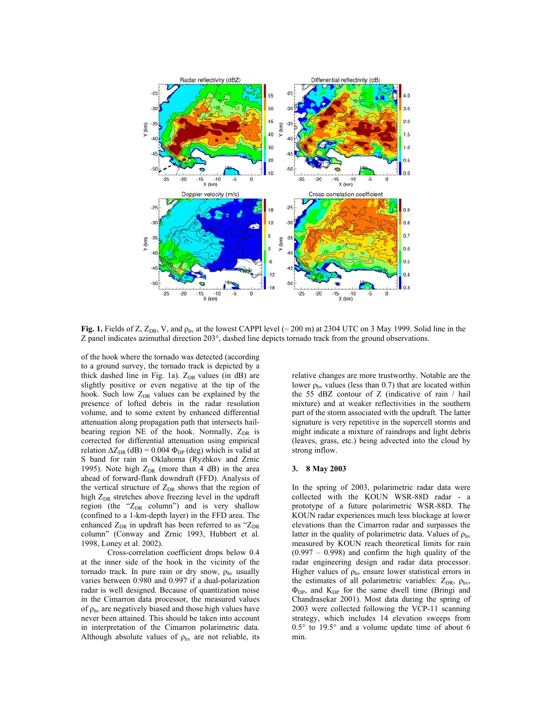

**Fig. 1.** Fields of Z,  $Z_{DR}$ , V, and  $\rho_{hv}$  at the lowest CAPPI level (~ 200 m) at 2304 UTC on 3 May 1999. Solid line in the Z panel indicates azimuthal direction 203°, dashed line depicts tornado track from the ground observations.

of the hook where the tornado was detected (according to a ground survey, the tornado track is depicted by a thick dashed line in Fig. 1a).  $Z_{DR}$  values (in dB) are slightly positive or even negative at the tip of the hook. Such low  $Z_{DR}$  values can be explained by the presence of lofted debris in the radar resolution volume, and to some extent by enhanced differential attenuation along propagation path that intersects hailbearing region NE of the hook. Normally,  $Z_{DR}$  is corrected for differential attenuation using empirical relation  $\Delta Z_{\text{DR}}$  (dB) = 0.004  $\Phi_{\text{DP}}$  (deg) which is valid at S band for rain in Oklahoma (Ryzhkov and Zrnic 1995). Note high  $Z_{DR}$  (more than 4 dB) in the area ahead of forward-flank downdraft (FFD). Analysis of the vertical structure of  $Z_{DR}$  shows that the region of high  $Z_{DR}$  stretches above freezing level in the updraft region (the " $Z_{DR}$  column") and is very shallow (confined to a 1-km-depth layer) in the FFD area. The enhanced  $Z_{DR}$  in updraft has been referred to as " $Z_{DR}$ " column" (Conway and Zrnic 1993, Hubbert et al. 1998, Loney et al. 2002).

 Cross-correlation coefficient drops below 0.4 at the inner side of the hook in the vicinity of the tornado track. In pure rain or dry snow,  $\rho_{hv}$  usually varies between 0.980 and 0.997 if a dual-polarization radar is well designed. Because of quantization noise in the Cimarron data processor, the measured values of  $\rho_{\text{hv}}$  are negatively biased and those high values have never been attained. This should be taken into account in interpretation of the Cimarron polarimetric data. Although absolute values of  $\rho_{hv}$  are not reliable, its

relative changes are more trustworthy. Notable are the lower  $\rho_{hv}$  values (less than 0.7) that are located within the 55 dBZ contour of Z (indicative of rain / hail mixture) and at weaker reflectivities in the southern part of the storm associated with the updraft. The latter signature is very repetitive in the supercell storms and might indicate a mixture of raindrops and light debris (leaves, grass, etc.) being advected into the cloud by strong inflow.

#### **3. 8 May 2003**

In the spring of 2003, polarimetric radar data were collected with the KOUN WSR-88D radar - a prototype of a future polarimetric WSR-88D. The KOUN radar experiences much less blockage at lower elevations than the Cimarron radar and surpasses the latter in the quality of polarimetric data. Values of  $\rho_{hv}$ measured by KOUN reach theoretical limits for rain  $(0.997 - 0.998)$  and confirm the high quality of the radar engineering design and radar data processor. Higher values of  $\rho_{hv}$  ensure lower statistical errors in the estimates of all polarimetric variables:  $Z_{DR}$ ,  $\rho_{hv}$ ,  $\Phi_{DP}$ , and  $K_{DP}$  for the same dwell time (Bringi and Chandrasekar 2001). Most data during the spring of 2003 were collected following the VCP-11 scanning strategy, which includes 14 elevation sweeps from 0.5° to 19.5° and a volume update time of about 6 min.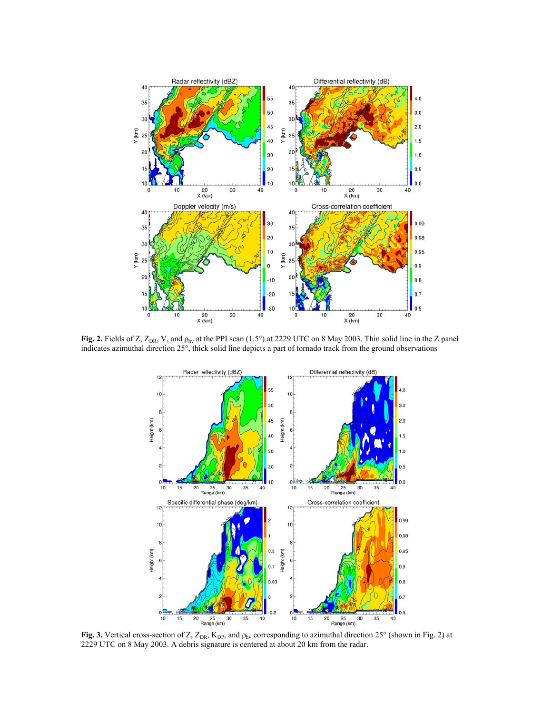

**Fig. 2.** Fields of Z,  $Z_{DR}$ , V, and  $\rho_{hv}$  at the PPI scan (1.5°) at 2229 UTC on 8 May 2003. Thin solid line in the Z panel indicates azimuthal direction 25°, thick solid line depicts a part of tornado track from the ground observations



**Fig. 3.** Vertical cross-section of Z, Z<sub>DR</sub>, K<sub>DP</sub>, and ρ<sub>hν</sub> corresponding to azimuthal direction 25° (shown in Fig. 2) at 2229 UTC on 8 May 2003. A debris signature is centered at about 20 km from the radar.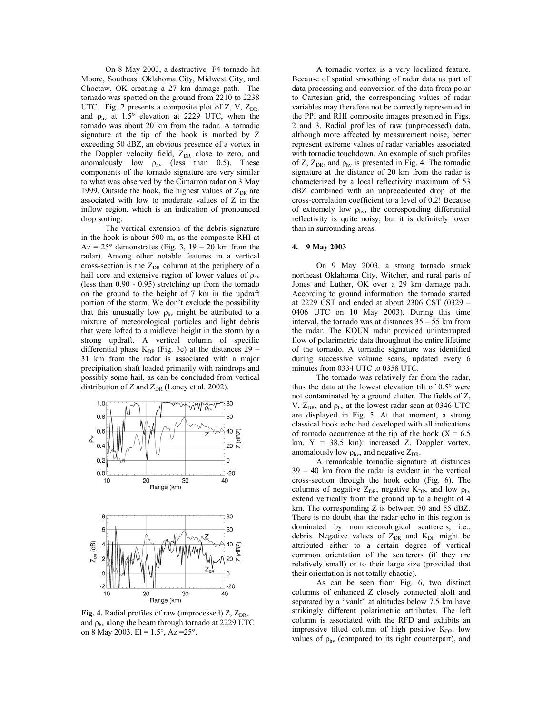On 8 May 2003, a destructive F4 tornado hit Moore, Southeast Oklahoma City, Midwest City, and Choctaw, OK creating a 27 km damage path. The tornado was spotted on the ground from 2210 to 2238 UTC. Fig. 2 presents a composite plot of  $Z$ ,  $V$ ,  $Z_{DR}$ , and  $\rho_{hv}$  at 1.5° elevation at 2229 UTC, when the tornado was about 20 km from the radar. A tornadic signature at the tip of the hook is marked by Z exceeding 50 dBZ, an obvious presence of a vortex in the Doppler velocity field,  $Z_{DR}$  close to zero, and anomalously low  $\rho_{hv}$  (less than 0.5). These components of the tornado signature are very similar to what was observed by the Cimarron radar on 3 May 1999. Outside the hook, the highest values of  $Z_{DR}$  are associated with low to moderate values of Z in the inflow region, which is an indication of pronounced drop sorting.

The vertical extension of the debris signature in the hook is about 500 m, as the composite RHI at  $Az = 25^{\circ}$  demonstrates (Fig. 3, 19 – 20 km from the radar). Among other notable features in a vertical cross-section is the  $Z_{DR}$  column at the periphery of a hail core and extensive region of lower values of  $\rho_{\text{hv}}$ (less than 0.90 - 0.95) stretching up from the tornado on the ground to the height of 7 km in the updraft portion of the storm. We don't exclude the possibility that this unusually low  $\rho_{hv}$  might be attributed to a mixture of meteorological particles and light debris that were lofted to a midlevel height in the storm by a strong updraft. A vertical column of specific differential phase  $K_{DP}$  (Fig. 3c) at the distances 29 – 31 km from the radar is associated with a major precipitation shaft loaded primarily with raindrops and possibly some hail, as can be concluded from vertical distribution of Z and  $Z_{DR}$  (Loney et al. 2002).



**Fig. 4.** Radial profiles of raw (unprocessed)  $Z$ ,  $Z_{DR}$ , and  $\rho_{\text{hv}}$  along the beam through tornado at 2229 UTC on 8 May 2003. El =  $1.5^{\circ}$ , Az =  $25^{\circ}$ .

A tornadic vortex is a very localized feature. Because of spatial smoothing of radar data as part of data processing and conversion of the data from polar to Cartesian grid, the corresponding values of radar variables may therefore not be correctly represented in the PPI and RHI composite images presented in Figs. 2 and 3. Radial profiles of raw (unprocessed) data, although more affected by measurement noise, better represent extreme values of radar variables associated with tornadic touchdown. An example of such profiles of Z,  $Z_{DR}$ , and  $\rho_{hv}$  is presented in Fig. 4. The tornadic signature at the distance of 20 km from the radar is characterized by a local reflectivity maximum of 53 dBZ combined with an unprecedented drop of the cross-correlation coefficient to a level of 0.2! Because of extremely low  $\rho_{hv}$ , the corresponding differential reflectivity is quite noisy, but it is definitely lower than in surrounding areas.

### **4. 9 May 2003**

On 9 May 2003, a strong tornado struck northeast Oklahoma City, Witcher, and rural parts of Jones and Luther, OK over a 29 km damage path. According to ground information, the tornado started at 2229 CST and ended at about 2306 CST (0329 – 0406 UTC on 10 May 2003). During this time interval, the tornado was at distances 35 – 55 km from the radar. The KOUN radar provided uninterrupted flow of polarimetric data throughout the entire lifetime of the tornado. A tornadic signature was identified during successive volume scans, updated every 6 minutes from 0334 UTC to 0358 UTC.

The tornado was relatively far from the radar, thus the data at the lowest elevation tilt of 0.5° were not contaminated by a ground clutter. The fields of Z, V,  $Z_{DR}$ , and  $\rho_{hv}$  at the lowest radar scan at 0346 UTC are displayed in Fig. 5. At that moment, a strong classical hook echo had developed with all indications of tornado occurrence at the tip of the hook ( $X = 6.5$ ) km, Y = 38.5 km): increased Z, Doppler vortex, anomalously low  $\rho_{hv}$ , and negative  $Z_{DR}$ .

A remarkable tornadic signature at distances 39 – 40 km from the radar is evident in the vertical cross-section through the hook echo (Fig. 6). The columns of negative  $Z_{DR}$ , negative  $K_{DP}$ , and low  $\rho_{hv}$ extend vertically from the ground up to a height of 4 km. The corresponding Z is between 50 and 55 dBZ. There is no doubt that the radar echo in this region is dominated by nonmeteorological scatterers, i.e., debris. Negative values of  $Z_{DR}$  and  $K_{DP}$  might be attributed either to a certain degree of vertical common orientation of the scatterers (if they are relatively small) or to their large size (provided that their orientation is not totally chaotic).

As can be seen from Fig. 6, two distinct columns of enhanced Z closely connected aloft and separated by a "vault" at altitudes below 7.5 km have strikingly different polarimetric attributes. The left column is associated with the RFD and exhibits an impressive tilted column of high positive  $K_{DP}$ , low values of  $\rho_{hv}$  (compared to its right counterpart), and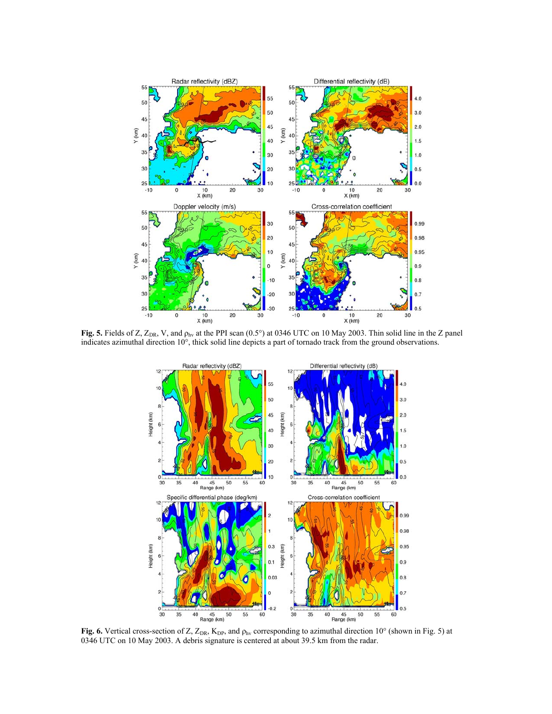

**Fig. 5.** Fields of Z,  $Z_{DR}$ , V, and  $\rho_{hv}$  at the PPI scan (0.5°) at 0346 UTC on 10 May 2003. Thin solid line in the Z panel indicates azimuthal direction 10°, thick solid line depicts a part of tornado track from the ground observations.



**Fig. 6.** Vertical cross-section of Z,  $Z_{DR}$ ,  $K_{DP}$ , and  $\rho_{hv}$  corresponding to azimuthal direction 10° (shown in Fig. 5) at 0346 UTC on 10 May 2003. A debris signature is centered at about 39.5 km from the radar.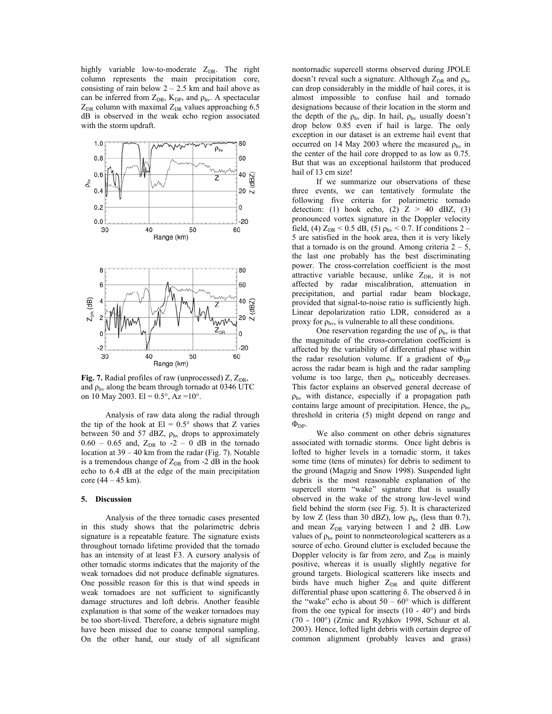highly variable low-to-moderate  $Z_{DR}$ . The right column represents the main precipitation core, consisting of rain below  $2 - 2.5$  km and hail above as can be inferred from  $Z_{DR}$ ,  $K_{DP}$ , and  $\rho_{hv}$ . A spectacular  $Z_{DR}$  column with maximal  $Z_{DR}$  values approaching 6.5 dB is observed in the weak echo region associated with the storm updraft.



**Fig. 7.** Radial profiles of raw (unprocessed)  $Z$ ,  $Z_{DR}$ , and  $\rho_{\text{hv}}$  along the beam through tornado at 0346 UTC on 10 May 2003. El =  $0.5^{\circ}$ , Az =  $10^{\circ}$ .

Analysis of raw data along the radial through the tip of the hook at  $El = 0.5^{\circ}$  shows that Z varies between 50 and 57 dBZ,  $\rho_{hv}$  drops to approximately  $0.60 - 0.65$  and,  $Z_{DR}$  to  $-2 - 0$  dB in the tornado location at 39 – 40 km from the radar (Fig. 7). Notable is a tremendous change of  $Z_{DR}$  from -2 dB in the hook echo to 6.4 dB at the edge of the main precipitation core  $(44 - 45 \text{ km})$ .

#### **5. Discussion**

Analysis of the three tornadic cases presented in this study shows that the polarimetric debris signature is a repeatable feature. The signature exists throughout tornado lifetime provided that the tornado has an intensity of at least F3. A cursory analysis of other tornadic storms indicates that the majority of the weak tornadoes did not produce definable signatures. One possible reason for this is that wind speeds in weak tornadoes are not sufficient to significantly damage structures and loft debris. Another feasible explanation is that some of the weaker tornadoes may be too short-lived. Therefore, a debris signature might have been missed due to coarse temporal sampling. On the other hand, our study of all significant

nontornadic supercell storms observed during JPOLE doesn't reveal such a signature. Although  $Z_{DR}$  and  $\rho_{hv}$ can drop considerably in the middle of hail cores, it is almost impossible to confuse hail and tornado designations because of their location in the storm and the depth of the  $\rho_{hv}$  dip. In hail,  $\rho_{hv}$  usually doesn't drop below 0.85 even if hail is large. The only exception in our dataset is an extreme hail event that occurred on 14 May 2003 where the measured  $\rho_{hv}$  in the center of the hail core dropped to as low as 0.75. But that was an exceptional hailstorm that produced hail of 13 cm size!

If we summarize our observations of these three events, we can tentatively formulate the following five criteria for polarimetric tornado detection: (1) hook echo, (2)  $Z > 40$  dBZ, (3) pronounced vortex signature in the Doppler velocity field, (4)  $Z_{DR}$  < 0.5 dB, (5)  $\rho_{hv}$  < 0.7. If conditions 2 – 5 are satisfied in the hook area, then it is very likely that a tornado is on the ground. Among criteria  $2 - 5$ , the last one probably has the best discriminating power. The cross-correlation coefficient is the most attractive variable because, unlike  $Z_{DR}$ , it is not affected by radar miscalibration, attenuation in precipitation, and partial radar beam blockage, provided that signal-to-noise ratio is sufficiently high. Linear depolarization ratio LDR, considered as a proxy for  $\rho_{\text{hv}}$ , is vulnerable to all these conditions.

One reservation regarding the use of  $\rho_{hv}$  is that the magnitude of the cross-correlation coefficient is affected by the variability of differential phase within the radar resolution volume. If a gradient of  $\Phi_{DP}$ across the radar beam is high and the radar sampling volume is too large, then  $\rho_{hv}$  noticeably decreases. This factor explains an observed general decrease of  $\rho_{hv}$  with distance, especially if a propagation path contains large amount of precipitation. Hence, the  $\rho_{hv}$ threshold in criteria (5) might depend on range and  $\Phi_{\text{DP}}$ .

We also comment on other debris signatures associated with tornadic storms. Once light debris is lofted to higher levels in a tornadic storm, it takes some time (tens of minutes) for debris to sediment to the ground (Magzig and Snow 1998). Suspended light debris is the most reasonable explanation of the supercell storm "wake" signature that is usually observed in the wake of the strong low-level wind field behind the storm (see Fig. 5). It is characterized by low Z (less than 30 dBZ), low  $\rho_{hv}$  (less than 0.7), and mean  $Z_{DR}$  varying between 1 and 2 dB. Low values of  $\rho_{hv}$  point to nonmeteorological scatterers as a source of echo. Ground clutter is excluded because the Doppler velocity is far from zero, and  $Z_{DR}$  is mainly positive, whereas it is usually slightly negative for ground targets. Biological scatterers like insects and birds have much higher  $Z_{DR}$  and quite different differential phase upon scattering δ. The observed δ in the "wake" echo is about  $50 - 60$ " which is different from the one typical for insects  $(10 - 40^{\circ})$  and birds (70 - 100°) (Zrnic and Ryzhkov 1998, Schuur et al. 2003). Hence, lofted light debris with certain degree of common alignment (probably leaves and grass)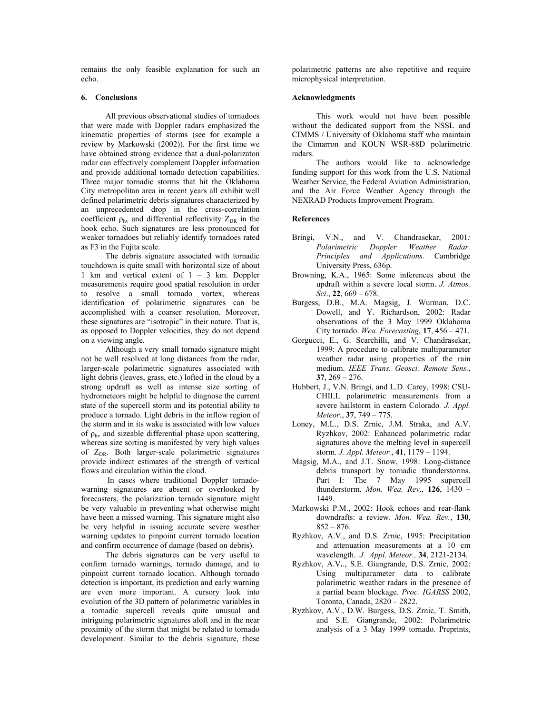remains the only feasible explanation for such an echo.

## **6. Conclusions**

All previous observational studies of tornadoes that were made with Doppler radars emphasized the kinematic properties of storms (see for example a review by Markowski (2002)). For the first time we have obtained strong evidence that a dual-polarizaton radar can effectively complement Doppler information and provide additional tornado detection capabilities. Three major tornadic storms that hit the Oklahoma City metropolitan area in recent years all exhibit well defined polarimetric debris signatures characterized by an unprecedented drop in the cross-correlation coefficient  $\rho_{hv}$  and differential reflectivity  $Z_{DR}$  in the hook echo. Such signatures are less pronounced for weaker tornadoes but reliably identify tornadoes rated as F3 in the Fujita scale.

The debris signature associated with tornadic touchdown is quite small with horizontal size of about 1 km and vertical extent of 1 – 3 km. Doppler measurements require good spatial resolution in order to resolve a small tornado vortex, whereas identification of polarimetric signatures can be accomplished with a coarser resolution. Moreover, these signatures are "isotropic" in their nature. That is, as opposed to Doppler velocities, they do not depend on a viewing angle.

Although a very small tornado signature might not be well resolved at long distances from the radar, larger-scale polarimetric signatures associated with light debris (leaves, grass, etc.) lofted in the cloud by a strong updraft as well as intense size sorting of hydrometeors might be helpful to diagnose the current state of the supercell storm and its potential ability to produce a tornado. Light debris in the inflow region of the storm and in its wake is associated with low values of  $\rho_{hv}$  and sizeable differential phase upon scattering, whereas size sorting is manifested by very high values of  $Z_{DR}$ . Both larger-scale polarimetric signatures provide indirect estimates of the strength of vertical flows and circulation within the cloud.

 In cases where traditional Doppler tornadowarning signatures are absent or overlooked by forecasters, the polarization tornado signature might be very valuable in preventing what otherwise might have been a missed warning. This signature might also be very helpful in issuing accurate severe weather warning updates to pinpoint current tornado location and confirm occurrence of damage (based on debris).

The debris signatures can be very useful to confirm tornado warnings, tornado damage, and to pinpoint current tornado location. Although tornado detection is important, its prediction and early warning are even more important. A cursory look into evolution of the 3D pattern of polarimetric variables in a tornadic supercell reveals quite unusual and intriguing polarimetric signatures aloft and in the near proximity of the storm that might be related to tornado development. Similar to the debris signature, these

polarimetric patterns are also repetitive and require microphysical interpretation.

#### **Acknowledgments**

This work would not have been possible without the dedicated support from the NSSL and CIMMS / University of Oklahoma staff who maintain the Cimarron and KOUN WSR-88D polarimetric radars.

The authors would like to acknowledge funding support for this work from the U.S. National Weather Service, the Federal Aviation Administration, and the Air Force Weather Agency through the NEXRAD Products Improvement Program.

### **References**

- Bringi, V.N., and V. Chandrasekar, 2001*: Polarimetric Doppler Weather Radar. Principles and Applications.* Cambridge University Press, 636p.
- Browning, K.A., 1965: Some inferences about the updraft within a severe local storm. *J. Atmos. Sci*., **22**, 669 – 678.
- Burgess, D.B., M.A. Magsig, J. Wurman, D.C. Dowell, and Y. Richardson, 2002: Radar observations of the 3 May 1999 Oklahoma City tornado. *Wea. Forecasting*, **17**, 456 – 471.
- Gorgucci, E., G. Scarchilli, and V. Chandrasekar, 1999: A procedure to calibrate multiparameter weather radar using properties of the rain medium. *IEEE Trans. Geosci. Remote Sens.*, **37**, 269 – 276.
- Hubbert, J., V.N. Bringi, and L.D. Carey, 1998: CSU-CHILL polarimetric measurements from a severe hailstorm in eastern Colorado*. J. Appl. Meteor.*, **37**, 749 – 775.
- Loney, M.L., D.S. Zrnic, J.M. Straka, and A.V. Ryzhkov, 2002: Enhanced polarimetric radar signatures above the melting level in supercell storm. *J. Appl. Meteor.*, **41**, 1179 – 1194.
- Magsig, M.A., and J.T. Snow, 1998: Long-distance debris transport by tornadic thunderstorms. Part I: The 7 May 1995 supercell thunderstorm. *Mon. Wea. Rev*., **126**, 1430 – 1449.
- Markowski P.M., 2002: Hook echoes and rear-flank downdrafts: a review. *Mon. Wea. Rev.*, **130**,  $852 - 876.$
- Ryzhkov, A.V., and D.S. Zrnic, 1995: Precipitation and attenuation measurements at a 10 cm wavelength. *J. Appl. Meteor.,* **34**, 2121-2134.
- Ryzhkov, A.V**.**., S.E. Giangrande, D.S. Zrnic, 2002: Using multiparameter data to calibrate polarimetric weather radars in the presence of a partial beam blockage. *Proc. IGARSS* 2002, Toronto, Canada, 2820 – 2822.
- Ryzhkov, A.V., D.W. Burgess, D.S. Zrnic, T. Smith, and S.E. Giangrande, 2002: Polarimetric analysis of a 3 May 1999 tornado. Preprints,